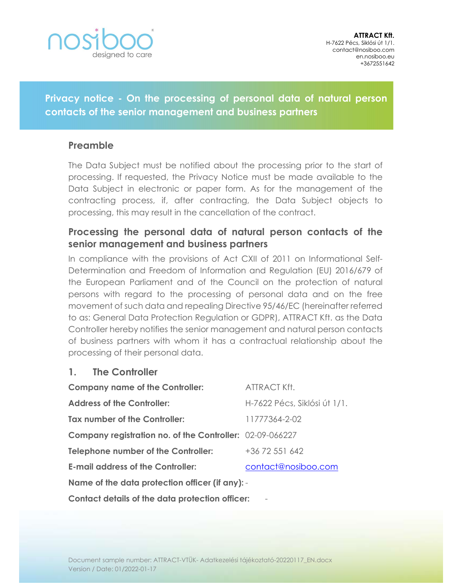

Privacy notice - On the processing of personal data of natural person contacts of the senior management and business partners

## Preamble

The Data Subject must be notified about the processing prior to the start of processing. If requested, the Privacy Notice must be made available to the Data Subject in electronic or paper form. As for the management of the contracting process, if, after contracting, the Data Subject objects to processing, this may result in the cancellation of the contract.

# Processing the personal data of natural person contacts of the senior management and business partners

In compliance with the provisions of Act CXII of 2011 on Informational Self-Determination and Freedom of Information and Regulation (EU) 2016/679 of the European Parliament and of the Council on the protection of natural persons with regard to the processing of personal data and on the free movement of such data and repealing Directive 95/46/EC (hereinafter referred to as: General Data Protection Regulation or GDPR), ATTRACT Kft. as the Data Controller hereby notifies the senior management and natural person contacts of business partners with whom it has a contractual relationship about the processing of their personal data.

## 1. The Controller

| <b>Company name of the Controller:</b>                          | ATTRACT Kft.                 |  |
|-----------------------------------------------------------------|------------------------------|--|
| <b>Address of the Controller:</b>                               | H-7622 Pécs, Siklósi út 1/1. |  |
| Tax number of the Controller:                                   | 11777364-2-02                |  |
| <b>Company registration no. of the Controller:</b> 02-09-066227 |                              |  |
| <b>Telephone number of the Controller:</b>                      | +36 72 551 642               |  |
| <b>E-mail address of the Controller:</b>                        | contact@nosiboo.com          |  |
| Name of the data protection officer (if any): -                 |                              |  |
| Contact details of the data protection officer:                 |                              |  |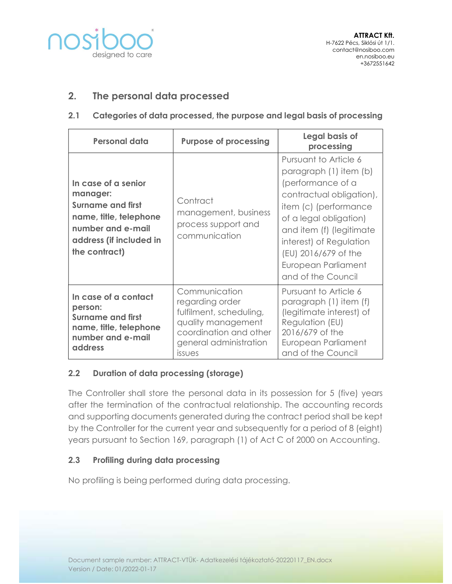

## 2. The personal data processed

#### 2.1 Categories of data processed, the purpose and legal basis of processing

| <b>Personal data</b>                                                                                                                                   | <b>Purpose of processing</b>                                                                                                                           | Legal basis of<br>processing                                                                                                                                                                                                                                                    |
|--------------------------------------------------------------------------------------------------------------------------------------------------------|--------------------------------------------------------------------------------------------------------------------------------------------------------|---------------------------------------------------------------------------------------------------------------------------------------------------------------------------------------------------------------------------------------------------------------------------------|
| In case of a senior<br>manager:<br><b>Surname and first</b><br>name, title, telephone<br>number and e-mail<br>address (if included in<br>the contract) | Contract<br>management, business<br>process support and<br>communication                                                                               | Pursuant to Article 6<br>paragraph (1) item (b)<br>(performance of a<br>contractual obligation),<br>item (c) (performance<br>of a legal obligation)<br>and item (f) (legitimate<br>interest) of Regulation<br>(EU) 2016/679 of the<br>European Parliament<br>and of the Council |
| In case of a contact<br>person:<br>Surname and first<br>name, title, telephone<br>number and e-mail<br>address                                         | Communication<br>regarding order<br>fulfilment, scheduling,<br>quality management<br>coordination and other<br>general administration<br><i>issues</i> | Pursuant to Article 6<br>paragraph (1) item (f)<br>(legitimate interest) of<br>Regulation (EU)<br>2016/679 of the<br>European Parliament<br>and of the Council                                                                                                                  |

#### 2.2 Duration of data processing (storage)

The Controller shall store the personal data in its possession for 5 (five) years after the termination of the contractual relationship. The accounting records and supporting documents generated during the contract period shall be kept by the Controller for the current year and subsequently for a period of 8 (eight) years pursuant to Section 169, paragraph (1) of Act C of 2000 on Accounting.

#### 2.3 Profiling during data processing

No profiling is being performed during data processing.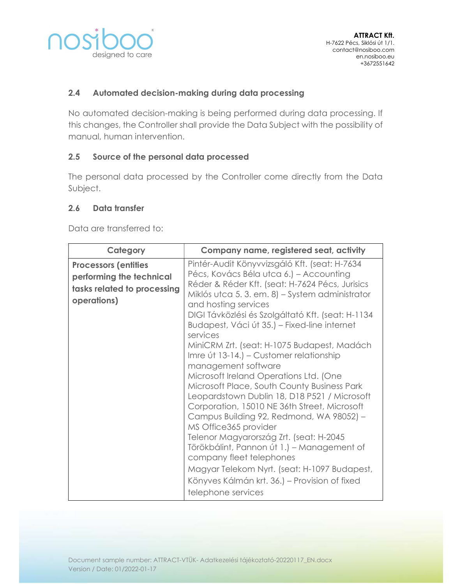

### 2.4 Automated decision-making during data processing

No automated decision-making is being performed during data processing. If this changes, the Controller shall provide the Data Subject with the possibility of manual, human intervention.

### 2.5 Source of the personal data processed

The personal data processed by the Controller come directly from the Data Subject.

#### 2.6 Data transfer

Data are transferred to:

| Category                                                                                              | Company name, registered seat, activity                                                                                                                                                                                                                                                                                                                                                                                                                                                                                                                                                                                                                                                                                                                                                                                                                                                                                                                           |
|-------------------------------------------------------------------------------------------------------|-------------------------------------------------------------------------------------------------------------------------------------------------------------------------------------------------------------------------------------------------------------------------------------------------------------------------------------------------------------------------------------------------------------------------------------------------------------------------------------------------------------------------------------------------------------------------------------------------------------------------------------------------------------------------------------------------------------------------------------------------------------------------------------------------------------------------------------------------------------------------------------------------------------------------------------------------------------------|
| <b>Processors (entities</b><br>performing the technical<br>tasks related to processing<br>operations) | Pintér-Audit Könyvvizsgáló Kft. (seat: H-7634<br>Pécs, Kovács Béla utca 6.) – Accounting<br>Réder & Réder Kft. (seat: H-7624 Pécs, Jurisics<br>Miklós utca 5.3. em. 8) – System administrator<br>and hosting services<br>DIGI Távközlési és Szolgáltató Kft. (seat: H-1134<br>Budapest, Váci út 35.) – Fixed-line internet<br>services<br>MiniCRM Zrt. (seat: H-1075 Budapest, Madách<br>Imre út 13-14.) – Customer relationship<br>management software<br>Microsoft Ireland Operations Ltd. (One<br>Microsoft Place, South County Business Park<br>Leopardstown Dublin 18, D18 P521 / Microsoft<br>Corporation, 15010 NE 36th Street, Microsoft<br>Campus Building 92, Redmond, WA 98052) -<br>MS Office365 provider<br>Telenor Magyarország Zrt. (seat: H-2045<br>Törökbálint, Pannon út 1.) - Management of<br>company fleet telephones<br>Magyar Telekom Nyrt. (seat: H-1097 Budapest,<br>Könyves Kálmán krt. 36.) – Provision of fixed<br>telephone services |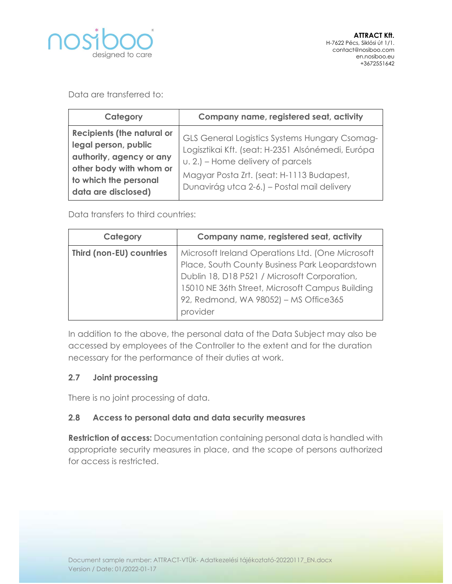

Data are transferred to:

| Category                                                                                                                                                         | Company name, registered seat, activity                                                                                                                                                                                             |
|------------------------------------------------------------------------------------------------------------------------------------------------------------------|-------------------------------------------------------------------------------------------------------------------------------------------------------------------------------------------------------------------------------------|
| <b>Recipients (the natural or</b><br>legal person, public<br>authority, agency or any<br>other body with whom or<br>to which the personal<br>data are disclosed) | GLS General Logistics Systems Hungary Csomag-<br>Logisztikai Kft. (seat: H-2351 Alsónémedi, Európa<br>u. 2.) – Home delivery of parcels<br>Magyar Posta Zrt. (seat: H-1113 Budapest,<br>Dunavirág utca 2-6.) – Postal mail delivery |

Data transfers to third countries:

| Category                 | Company name, registered seat, activity          |
|--------------------------|--------------------------------------------------|
| Third (non-EU) countries | Microsoft Ireland Operations Ltd. (One Microsoft |
|                          | Place, South County Business Park Leopardstown   |
|                          | Dublin 18, D18 P521 / Microsoft Corporation,     |
|                          | 15010 NE 36th Street, Microsoft Campus Building  |
|                          | 92, Redmond, WA 98052) - MS Office365            |
|                          | provider                                         |

In addition to the above, the personal data of the Data Subject may also be accessed by employees of the Controller to the extent and for the duration necessary for the performance of their duties at work.

## 2.7 Joint processing

There is no joint processing of data.

## 2.8 Access to personal data and data security measures

Restriction of access: Documentation containing personal data is handled with appropriate security measures in place, and the scope of persons authorized for access is restricted.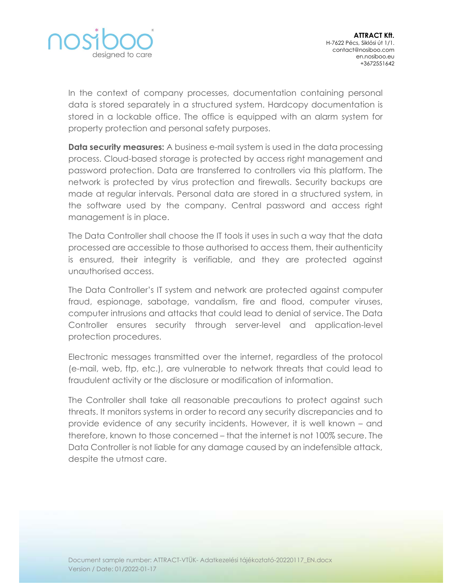

In the context of company processes, documentation containing personal data is stored separately in a structured system. Hardcopy documentation is stored in a lockable office. The office is equipped with an alarm system for property protection and personal safety purposes.

**Data security measures:** A business e-mail system is used in the data processing process. Cloud-based storage is protected by access right management and password protection. Data are transferred to controllers via this platform. The network is protected by virus protection and firewalls. Security backups are made at regular intervals. Personal data are stored in a structured system, in the software used by the company. Central password and access right management is in place.

The Data Controller shall choose the IT tools it uses in such a way that the data processed are accessible to those authorised to access them, their authenticity is ensured, their integrity is verifiable, and they are protected against unauthorised access.

The Data Controller's IT system and network are protected against computer fraud, espionage, sabotage, vandalism, fire and flood, computer viruses, computer intrusions and attacks that could lead to denial of service. The Data Controller ensures security through server-level and application-level protection procedures.

Electronic messages transmitted over the internet, regardless of the protocol (e-mail, web, ftp, etc.), are vulnerable to network threats that could lead to fraudulent activity or the disclosure or modification of information.

The Controller shall take all reasonable precautions to protect against such threats. It monitors systems in order to record any security discrepancies and to provide evidence of any security incidents. However, it is well known – and therefore, known to those concerned – that the internet is not 100% secure. The Data Controller is not liable for any damage caused by an indefensible attack, despite the utmost care.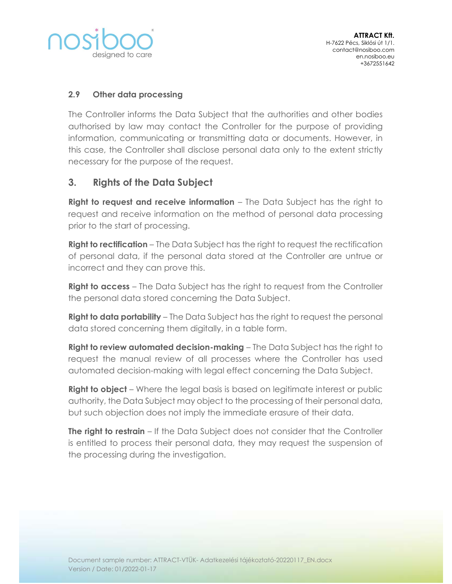

### 2.9 Other data processing

The Controller informs the Data Subject that the authorities and other bodies authorised by law may contact the Controller for the purpose of providing information, communicating or transmitting data or documents. However, in this case, the Controller shall disclose personal data only to the extent strictly necessary for the purpose of the request.

## 3. Rights of the Data Subject

**Right to request and receive information** – The Data Subject has the right to request and receive information on the method of personal data processing prior to the start of processing.

**Right to rectification** – The Data Subject has the right to request the rectification of personal data, if the personal data stored at the Controller are untrue or incorrect and they can prove this.

Right to access - The Data Subject has the right to request from the Controller the personal data stored concerning the Data Subject.

**Right to data portability** – The Data Subject has the right to request the personal data stored concerning them digitally, in a table form.

**Right to review automated decision-making** – The Data Subject has the right to request the manual review of all processes where the Controller has used automated decision-making with legal effect concerning the Data Subject.

**Right to object** – Where the legal basis is based on legitimate interest or public authority, the Data Subject may object to the processing of their personal data, but such objection does not imply the immediate erasure of their data.

**The right to restrain** – If the Data Subject does not consider that the Controller is entitled to process their personal data, they may request the suspension of the processing during the investigation.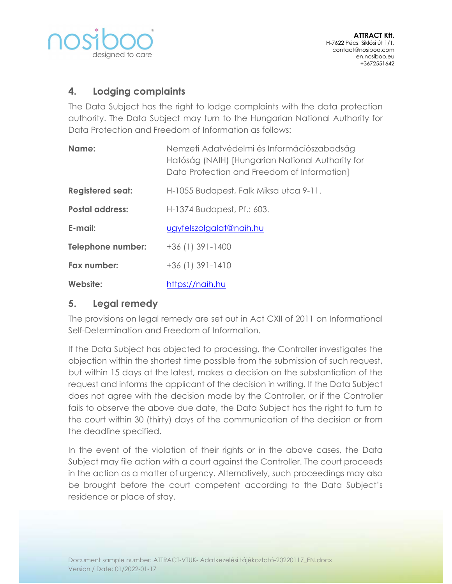

# 4. Lodging complaints

The Data Subject has the right to lodge complaints with the data protection authority. The Data Subject may turn to the Hungarian National Authority for Data Protection and Freedom of Information as follows:

| Name:                    | Nemzeti Adatvédelmi és Információszabadság<br>Hatóság (NAIH) [Hungarian National Authority for<br>Data Protection and Freedom of Information] |
|--------------------------|-----------------------------------------------------------------------------------------------------------------------------------------------|
| <b>Registered seat:</b>  | H-1055 Budapest, Falk Miksa utca 9-11.                                                                                                        |
| <b>Postal address:</b>   | H-1374 Budapest, Pf.: 603.                                                                                                                    |
| E-mail:                  | ugyfelszolgalat@naih.hu                                                                                                                       |
| <b>Telephone number:</b> | $+36(1)391-1400$                                                                                                                              |
| Fax number:              | $+36(1)391-1410$                                                                                                                              |
| Website:                 | https://naih.hu                                                                                                                               |

## 5. Legal remedy

The provisions on legal remedy are set out in Act CXII of 2011 on Informational Self-Determination and Freedom of Information.

If the Data Subject has objected to processing, the Controller investigates the objection within the shortest time possible from the submission of such request, but within 15 days at the latest, makes a decision on the substantiation of the request and informs the applicant of the decision in writing. If the Data Subject does not agree with the decision made by the Controller, or if the Controller fails to observe the above due date, the Data Subject has the right to turn to the court within 30 (thirty) days of the communication of the decision or from the deadline specified.

In the event of the violation of their rights or in the above cases, the Data Subject may file action with a court against the Controller. The court proceeds in the action as a matter of urgency. Alternatively, such proceedings may also be brought before the court competent according to the Data Subject's residence or place of stay.